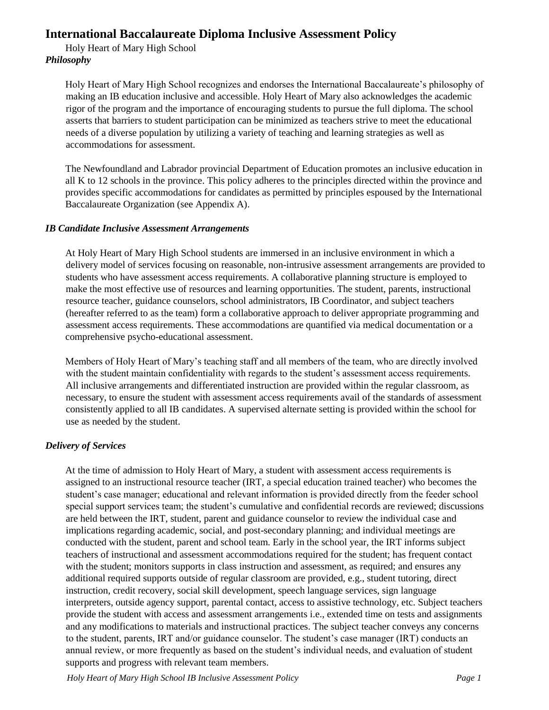# **International Baccalaureate Diploma Inclusive Assessment Policy**

Holy Heart of Mary High School *Philosophy* 

> Holy Heart of Mary High School recognizes and endorses the International Baccalaureate's philosophy of making an IB education inclusive and accessible. Holy Heart of Mary also acknowledges the academic rigor of the program and the importance of encouraging students to pursue the full diploma. The school asserts that barriers to student participation can be minimized as teachers strive to meet the educational needs of a diverse population by utilizing a variety of teaching and learning strategies as well as accommodations for assessment.

> The Newfoundland and Labrador provincial Department of Education promotes an inclusive education in all K to 12 schools in the province. This policy adheres to the principles directed within the province and provides specific accommodations for candidates as permitted by principles espoused by the International Baccalaureate Organization (see Appendix A).

# *IB Candidate Inclusive Assessment Arrangements*

At Holy Heart of Mary High School students are immersed in an inclusive environment in which a delivery model of services focusing on reasonable, non-intrusive assessment arrangements are provided to students who have assessment access requirements. A collaborative planning structure is employed to make the most effective use of resources and learning opportunities. The student, parents, instructional resource teacher, guidance counselors, school administrators, IB Coordinator, and subject teachers (hereafter referred to as the team) form a collaborative approach to deliver appropriate programming and assessment access requirements. These accommodations are quantified via medical documentation or a comprehensive psycho-educational assessment.

Members of Holy Heart of Mary's teaching staff and all members of the team, who are directly involved with the student maintain confidentiality with regards to the student's assessment access requirements. All inclusive arrangements and differentiated instruction are provided within the regular classroom, as necessary, to ensure the student with assessment access requirements avail of the standards of assessment consistently applied to all IB candidates. A supervised alternate setting is provided within the school for use as needed by the student.

# *Delivery of Services*

At the time of admission to Holy Heart of Mary, a student with assessment access requirements is assigned to an instructional resource teacher (IRT, a special education trained teacher) who becomes the student's case manager; educational and relevant information is provided directly from the feeder school special support services team; the student's cumulative and confidential records are reviewed; discussions are held between the IRT, student, parent and guidance counselor to review the individual case and implications regarding academic, social, and post-secondary planning; and individual meetings are conducted with the student, parent and school team. Early in the school year, the IRT informs subject teachers of instructional and assessment accommodations required for the student; has frequent contact with the student; monitors supports in class instruction and assessment, as required; and ensures any additional required supports outside of regular classroom are provided, e.g., student tutoring, direct instruction, credit recovery, social skill development, speech language services, sign language interpreters, outside agency support, parental contact, access to assistive technology, etc. Subject teachers provide the student with access and assessment arrangements i.e., extended time on tests and assignments and any modifications to materials and instructional practices. The subject teacher conveys any concerns to the student, parents, IRT and/or guidance counselor. The student's case manager (IRT) conducts an annual review, or more frequently as based on the student's individual needs, and evaluation of student supports and progress with relevant team members.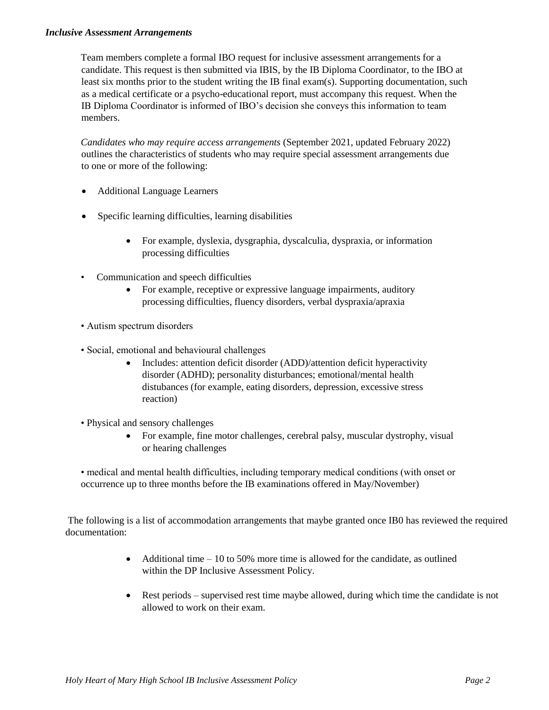#### *Inclusive Assessment Arrangements*

Team members complete a formal IBO request for inclusive assessment arrangements for a candidate. This request is then submitted via IBIS, by the IB Diploma Coordinator, to the IBO at least six months prior to the student writing the IB final exam(s). Supporting documentation, such as a medical certificate or a psycho-educational report, must accompany this request. When the IB Diploma Coordinator is informed of IBO's decision she conveys this information to team members.

*Candidates who may require access arrangements* (September 2021, updated February 2022) outlines the characteristics of students who may require special assessment arrangements due to one or more of the following:

- Additional Language Learners
- Specific learning difficulties, learning disabilities
	- For example, dyslexia, dysgraphia, dyscalculia, dyspraxia, or information processing difficulties
- Communication and speech difficulties
	- For example, receptive or expressive language impairments, auditory processing difficulties, fluency disorders, verbal dyspraxia/apraxia
- Autism spectrum disorders
- Social, emotional and behavioural challenges
	- Includes: attention deficit disorder (ADD)/attention deficit hyperactivity disorder (ADHD); personality disturbances; emotional/mental health distubances (for example, eating disorders, depression, excessive stress reaction)
- Physical and sensory challenges
	- For example, fine motor challenges, cerebral palsy, muscular dystrophy, visual or hearing challenges
- medical and mental health difficulties, including temporary medical conditions (with onset or occurrence up to three months before the IB examinations offered in May/November)

The following is a list of accommodation arrangements that maybe granted once IB0 has reviewed the required documentation:

- Additional time  $-10$  to 50% more time is allowed for the candidate, as outlined within the DP Inclusive Assessment Policy.
- Rest periods supervised rest time maybe allowed, during which time the candidate is not allowed to work on their exam.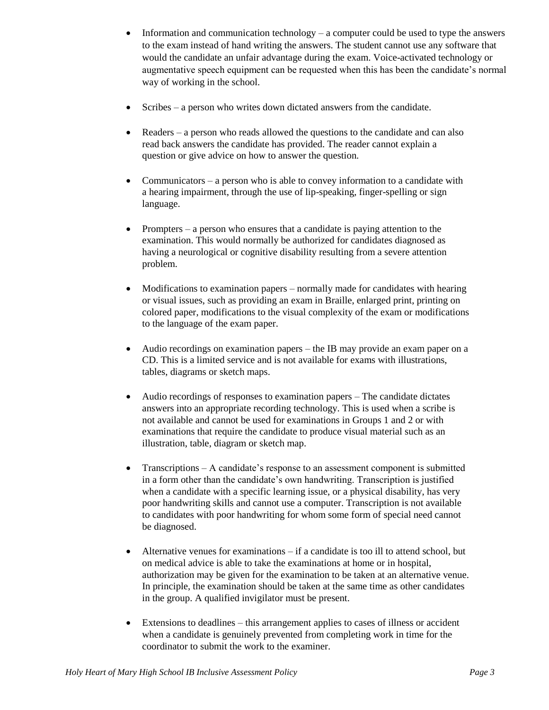- Information and communication technology a computer could be used to type the answers to the exam instead of hand writing the answers. The student cannot use any software that would the candidate an unfair advantage during the exam. Voice-activated technology or augmentative speech equipment can be requested when this has been the candidate's normal way of working in the school.
- Scribes a person who writes down dictated answers from the candidate.
- Readers a person who reads allowed the questions to the candidate and can also read back answers the candidate has provided. The reader cannot explain a question or give advice on how to answer the question.
- Communicators a person who is able to convey information to a candidate with a hearing impairment, through the use of lip-speaking, finger-spelling or sign language.
- Prompters a person who ensures that a candidate is paying attention to the examination. This would normally be authorized for candidates diagnosed as having a neurological or cognitive disability resulting from a severe attention problem.
- Modifications to examination papers normally made for candidates with hearing or visual issues, such as providing an exam in Braille, enlarged print, printing on colored paper, modifications to the visual complexity of the exam or modifications to the language of the exam paper.
- Audio recordings on examination papers the IB may provide an exam paper on a CD. This is a limited service and is not available for exams with illustrations, tables, diagrams or sketch maps.
- Audio recordings of responses to examination papers The candidate dictates answers into an appropriate recording technology. This is used when a scribe is not available and cannot be used for examinations in Groups 1 and 2 or with examinations that require the candidate to produce visual material such as an illustration, table, diagram or sketch map.
- Transcriptions A candidate's response to an assessment component is submitted in a form other than the candidate's own handwriting. Transcription is justified when a candidate with a specific learning issue, or a physical disability, has very poor handwriting skills and cannot use a computer. Transcription is not available to candidates with poor handwriting for whom some form of special need cannot be diagnosed.
- Alternative venues for examinations  $-\text{ if a candidate is too ill to attend school, but}$ on medical advice is able to take the examinations at home or in hospital, authorization may be given for the examination to be taken at an alternative venue. In principle, the examination should be taken at the same time as other candidates in the group. A qualified invigilator must be present.
- Extensions to deadlines this arrangement applies to cases of illness or accident when a candidate is genuinely prevented from completing work in time for the coordinator to submit the work to the examiner.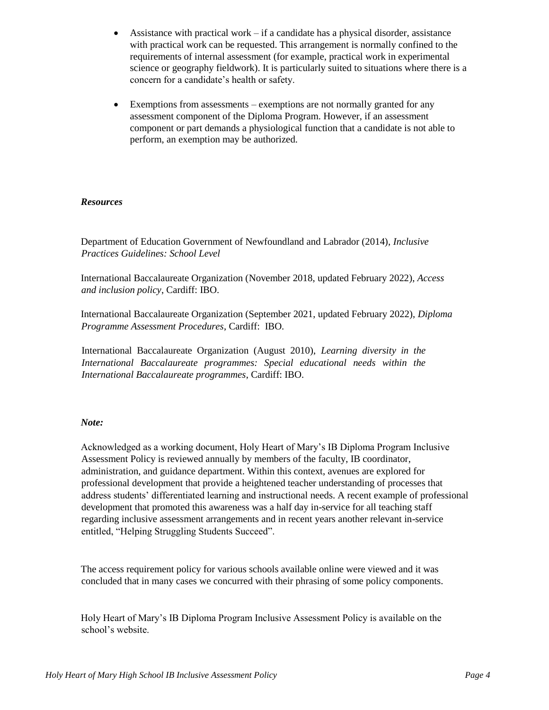- Assistance with practical work if a candidate has a physical disorder, assistance with practical work can be requested. This arrangement is normally confined to the requirements of internal assessment (for example, practical work in experimental science or geography fieldwork). It is particularly suited to situations where there is a concern for a candidate's health or safety.
- Exemptions from assessments exemptions are not normally granted for any assessment component of the Diploma Program. However, if an assessment component or part demands a physiological function that a candidate is not able to perform, an exemption may be authorized.

#### *Resources*

Department of Education Government of Newfoundland and Labrador (2014), *Inclusive Practices Guidelines: School Level* 

International Baccalaureate Organization (November 2018, updated February 2022), *Access and inclusion policy*, Cardiff: IBO.

International Baccalaureate Organization (September 2021, updated February 2022), *Diploma Programme Assessment Procedures*, Cardiff: IBO.

International Baccalaureate Organization (August 2010), *Learning diversity in the International Baccalaureate programmes: Special educational needs within the International Baccalaureate programmes*, Cardiff: IBO.

#### *Note:*

Acknowledged as a working document, Holy Heart of Mary's IB Diploma Program Inclusive Assessment Policy is reviewed annually by members of the faculty, IB coordinator, administration, and guidance department. Within this context, avenues are explored for professional development that provide a heightened teacher understanding of processes that address students' differentiated learning and instructional needs. A recent example of professional development that promoted this awareness was a half day in-service for all teaching staff regarding inclusive assessment arrangements and in recent years another relevant in-service entitled, "Helping Struggling Students Succeed".

The access requirement policy for various schools available online were viewed and it was concluded that in many cases we concurred with their phrasing of some policy components.

Holy Heart of Mary's IB Diploma Program Inclusive Assessment Policy is available on the school's website.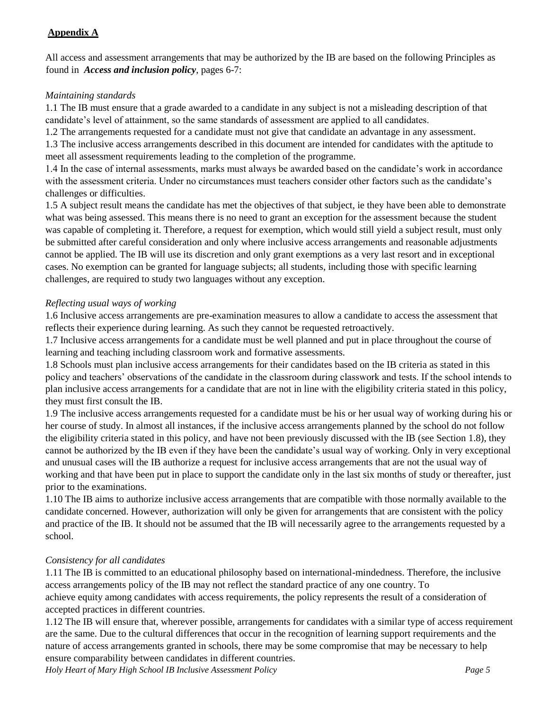# **Appendix A**

All access and assessment arrangements that may be authorized by the IB are based on the following Principles as found in *Access and inclusion policy*, pages 6-7:

#### *Maintaining standards*

1.1 The IB must ensure that a grade awarded to a candidate in any subject is not a misleading description of that candidate's level of attainment, so the same standards of assessment are applied to all candidates.

1.2 The arrangements requested for a candidate must not give that candidate an advantage in any assessment.

1.3 The inclusive access arrangements described in this document are intended for candidates with the aptitude to meet all assessment requirements leading to the completion of the programme.

1.4 In the case of internal assessments, marks must always be awarded based on the candidate's work in accordance with the assessment criteria. Under no circumstances must teachers consider other factors such as the candidate's challenges or difficulties.

1.5 A subject result means the candidate has met the objectives of that subject, ie they have been able to demonstrate what was being assessed. This means there is no need to grant an exception for the assessment because the student was capable of completing it. Therefore, a request for exemption, which would still yield a subject result, must only be submitted after careful consideration and only where inclusive access arrangements and reasonable adjustments cannot be applied. The IB will use its discretion and only grant exemptions as a very last resort and in exceptional cases. No exemption can be granted for language subjects; all students, including those with specific learning challenges, are required to study two languages without any exception.

# *Reflecting usual ways of working*

1.6 Inclusive access arrangements are pre-examination measures to allow a candidate to access the assessment that reflects their experience during learning. As such they cannot be requested retroactively.

1.7 Inclusive access arrangements for a candidate must be well planned and put in place throughout the course of learning and teaching including classroom work and formative assessments.

1.8 Schools must plan inclusive access arrangements for their candidates based on the IB criteria as stated in this policy and teachers' observations of the candidate in the classroom during classwork and tests. If the school intends to plan inclusive access arrangements for a candidate that are not in line with the eligibility criteria stated in this policy, they must first consult the IB.

1.9 The inclusive access arrangements requested for a candidate must be his or her usual way of working during his or her course of study. In almost all instances, if the inclusive access arrangements planned by the school do not follow the eligibility criteria stated in this policy, and have not been previously discussed with the IB (see Section 1.8), they cannot be authorized by the IB even if they have been the candidate's usual way of working. Only in very exceptional and unusual cases will the IB authorize a request for inclusive access arrangements that are not the usual way of working and that have been put in place to support the candidate only in the last six months of study or thereafter, just prior to the examinations.

1.10 The IB aims to authorize inclusive access arrangements that are compatible with those normally available to the candidate concerned. However, authorization will only be given for arrangements that are consistent with the policy and practice of the IB. It should not be assumed that the IB will necessarily agree to the arrangements requested by a school.

# *Consistency for all candidates*

1.11 The IB is committed to an educational philosophy based on international-mindedness. Therefore, the inclusive access arrangements policy of the IB may not reflect the standard practice of any one country. To achieve equity among candidates with access requirements, the policy represents the result of a consideration of accepted practices in different countries.

1.12 The IB will ensure that, wherever possible, arrangements for candidates with a similar type of access requirement are the same. Due to the cultural differences that occur in the recognition of learning support requirements and the nature of access arrangements granted in schools, there may be some compromise that may be necessary to help ensure comparability between candidates in different countries.

*Holy Heart of Mary High School IB Inclusive Assessment Policy Page 5*